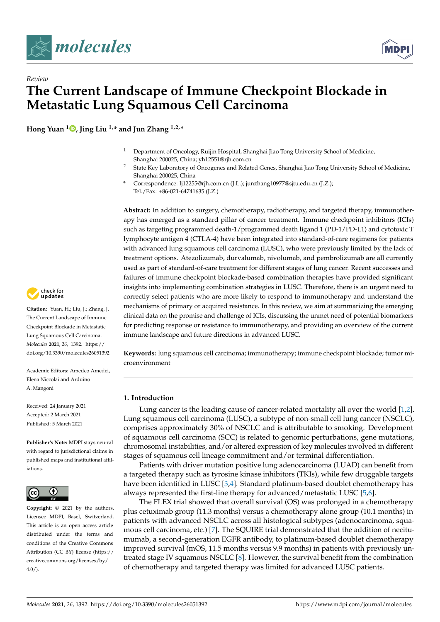



**Hong Yuan <sup>1</sup> [,](https://orcid.org/0000-0002-1492-5173) Jing Liu 1,\* and Jun Zhang 1,2,\***

- <sup>1</sup> Department of Oncology, Ruijin Hospital, Shanghai Jiao Tong University School of Medicine, Shanghai 200025, China; yh12551@rjh.com.cn
- <sup>2</sup> State Key Laboratory of Oncogenes and Related Genes, Shanghai Jiao Tong University School of Medicine, Shanghai 200025, China
- **\*** Correspondence: lj12255@rjh.com.cn (J.L.); junzhang10977@sjtu.edu.cn (J.Z.); Tel./Fax: +86-021-64741635 (J.Z.)

**Abstract:** In addition to surgery, chemotherapy, radiotherapy, and targeted therapy, immunotherapy has emerged as a standard pillar of cancer treatment. Immune checkpoint inhibitors (ICIs) such as targeting programmed death-1/programmed death ligand 1 (PD-1/PD-L1) and cytotoxic T lymphocyte antigen 4 (CTLA-4) have been integrated into standard-of-care regimens for patients with advanced lung squamous cell carcinoma (LUSC), who were previously limited by the lack of treatment options. Atezolizumab, durvalumab, nivolumab, and pembrolizumab are all currently used as part of standard-of-care treatment for different stages of lung cancer. Recent successes and failures of immune checkpoint blockade-based combination therapies have provided significant insights into implementing combination strategies in LUSC. Therefore, there is an urgent need to correctly select patients who are more likely to respond to immunotherapy and understand the mechanisms of primary or acquired resistance. In this review, we aim at summarizing the emerging clinical data on the promise and challenge of ICIs, discussing the unmet need of potential biomarkers for predicting response or resistance to immunotherapy, and providing an overview of the current immune landscape and future directions in advanced LUSC.

**Keywords:** lung squamous cell carcinoma; immunotherapy; immune checkpoint blockade; tumor microenvironment

# **1. Introduction**

Lung cancer is the leading cause of cancer-related mortality all over the world [\[1,](#page-7-0)[2\]](#page-7-1). Lung squamous cell carcinoma (LUSC), a subtype of non-small cell lung cancer (NSCLC), comprises approximately 30% of NSCLC and is attributable to smoking. Development of squamous cell carcinoma (SCC) is related to genomic perturbations, gene mutations, chromosomal instabilities, and/or altered expression of key molecules involved in different stages of squamous cell lineage commitment and/or terminal differentiation.

Patients with driver mutation positive lung adenocarcinoma (LUAD) can benefit from a targeted therapy such as tyrosine kinase inhibitors (TKIs), while few druggable targets have been identified in LUSC [\[3,](#page-7-2)[4\]](#page-7-3). Standard platinum-based doublet chemotherapy has always represented the first-line therapy for advanced/metastatic LUSC [\[5,](#page-7-4)[6\]](#page-7-5).

The FLEX trial showed that overall survival (OS) was prolonged in a chemotherapy plus cetuximab group (11.3 months) versus a chemotherapy alone group (10.1 months) in patients with advanced NSCLC across all histological subtypes (adenocarcinoma, squamous cell carcinoma, etc.) [\[7\]](#page-7-6). The SQUIRE trial demonstrated that the addition of necitumumab, a second-generation EGFR antibody, to platinum-based doublet chemotherapy improved survival (mOS, 11.5 months versus 9.9 months) in patients with previously untreated stage IV squamous NSCLC [\[8\]](#page-7-7). However, the survival benefit from the combination of chemotherapy and targeted therapy was limited for advanced LUSC patients.



**Citation:** Yuan, H.; Liu, J.; Zhang, J. The Current Landscape of Immune Checkpoint Blockade in Metastatic Lung Squamous Cell Carcinoma. *Molecules* **2021**, *26*, 1392. [https://](https://doi.org/10.3390/molecules26051392) [doi.org/10.3390/molecules26051392](https://doi.org/10.3390/molecules26051392)

Academic Editors: Amedeo Amedei, Elena Niccolai and Arduino A. Mangoni

Received: 24 January 2021 Accepted: 2 March 2021 Published: 5 March 2021

**Publisher's Note:** MDPI stays neutral with regard to jurisdictional claims in published maps and institutional affiliations.



**Copyright:** © 2021 by the authors. Licensee MDPI, Basel, Switzerland. This article is an open access article distributed under the terms and conditions of the Creative Commons Attribution (CC BY) license (https:/[/](https://creativecommons.org/licenses/by/4.0/) [creativecommons.org/licenses/by/](https://creativecommons.org/licenses/by/4.0/)  $4.0/$ ).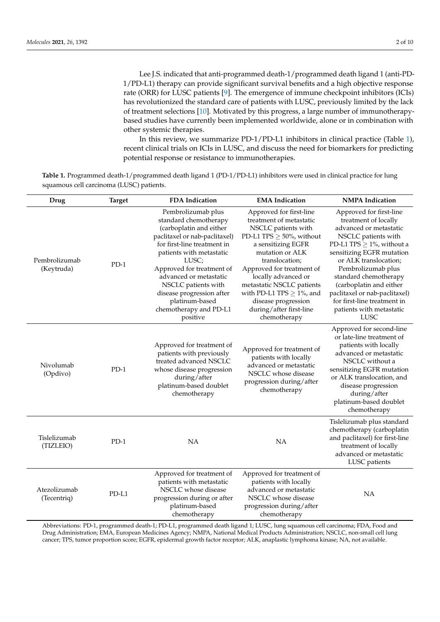Lee J.S. indicated that anti-programmed death-1/programmed death ligand 1 (anti-PD-1/PD-L1) therapy can provide significant survival benefits and a high objective response rate (ORR) for LUSC patients [\[9\]](#page-7-8). The emergence of immune checkpoint inhibitors (ICIs) has revolutionized the standard care of patients with LUSC, previously limited by the lack of treatment selections [\[10\]](#page-7-9). Motivated by this progress, a large number of immunotherapybased studies have currently been implemented worldwide, alone or in combination with other systemic therapies.

In this review, we summarize PD-1/PD-L1 inhibitors in clinical practice (Table [1\)](#page-1-0), recent clinical trials on ICIs in LUSC, and discuss the need for biomarkers for predicting potential response or resistance to immunotherapies.

<span id="page-1-0"></span>**Table 1.** Programmed death-1/programmed death ligand 1 (PD-1/PD-L1) inhibitors were used in clinical practice for lung squamous cell carcinoma (LUSC) patients.

| Drug                        | <b>Target</b> | <b>FDA</b> Indication                                                                                                                                                                                                                                                                                                                          | <b>EMA</b> Indication                                                                                                                                                                                                                                                                                                                                     | <b>NMPA</b> Indication                                                                                                                                                                                                                                                                                                                                                        |
|-----------------------------|---------------|------------------------------------------------------------------------------------------------------------------------------------------------------------------------------------------------------------------------------------------------------------------------------------------------------------------------------------------------|-----------------------------------------------------------------------------------------------------------------------------------------------------------------------------------------------------------------------------------------------------------------------------------------------------------------------------------------------------------|-------------------------------------------------------------------------------------------------------------------------------------------------------------------------------------------------------------------------------------------------------------------------------------------------------------------------------------------------------------------------------|
| Pembrolizumab<br>(Keytruda) | $PD-1$        | Pembrolizumab plus<br>standard chemotherapy<br>(carboplatin and either<br>paclitaxel or nab-paclitaxel)<br>for first-line treatment in<br>patients with metastatic<br>LUSC;<br>Approved for treatment of<br>advanced or metastatic<br>NSCLC patients with<br>disease progression after<br>platinum-based<br>chemotherapy and PD-L1<br>positive | Approved for first-line<br>treatment of metastatic<br>NSCLC patients with<br>PD-L1 TPS $\geq$ 50%, without<br>a sensitizing EGFR<br>mutation or ALK<br>translocation;<br>Approved for treatment of<br>locally advanced or<br>metastatic NSCLC patients<br>with PD-L1 TPS $\geq$ 1%, and<br>disease progression<br>during/after first-line<br>chemotherapy | Approved for first-line<br>treatment of locally<br>advanced or metastatic<br>NSCLC patients with<br>PD-L1 TPS $\geq$ 1%, without a<br>sensitizing EGFR mutation<br>or ALK translocation;<br>Pembrolizumab plus<br>standard chemotherapy<br>(carboplatin and either<br>paclitaxel or nab-paclitaxel)<br>for first-line treatment in<br>patients with metastatic<br><b>LUSC</b> |
| Nivolumab<br>(Opdivo)       | $PD-1$        | Approved for treatment of<br>patients with previously<br>treated advanced NSCLC<br>whose disease progression<br>during/after<br>platinum-based doublet<br>chemotherapy                                                                                                                                                                         | Approved for treatment of<br>patients with locally<br>advanced or metastatic<br>NSCLC whose disease<br>progression during/after<br>chemotherapy                                                                                                                                                                                                           | Approved for second-line<br>or late-line treatment of<br>patients with locally<br>advanced or metastatic<br>NSCLC without a<br>sensitizing EGFR mutation<br>or ALK translocation, and<br>disease progression<br>during/after<br>platinum-based doublet<br>chemotherapy                                                                                                        |
| Tislelizumab<br>(TIZLEIO)   | $PD-1$        | NA                                                                                                                                                                                                                                                                                                                                             | NA                                                                                                                                                                                                                                                                                                                                                        | Tislelizumab plus standard<br>chemotherapy (carboplatin<br>and paclitaxel) for first-line<br>treatment of locally<br>advanced or metastatic<br>LUSC patients                                                                                                                                                                                                                  |
| Atezolizumab<br>(Tecentriq) | PD-L1         | Approved for treatment of<br>patients with metastatic<br>NSCLC whose disease<br>progression during or after<br>platinum-based<br>chemotherapy                                                                                                                                                                                                  | Approved for treatment of<br>patients with locally<br>advanced or metastatic<br>NSCLC whose disease<br>progression during/after<br>chemotherapy                                                                                                                                                                                                           | <b>NA</b>                                                                                                                                                                                                                                                                                                                                                                     |

Abbreviations: PD-1, programmed death-1; PD-L1, programmed death ligand 1; LUSC, lung squamous cell carcinoma; FDA, Food and Drug Administration; EMA, European Medicines Agency; NMPA, National Medical Products Administration; NSCLC, non-small cell lung cancer; TPS, tumor proportion score; EGFR, epidermal growth factor receptor; ALK, anaplastic lymphoma kinase; NA, not available.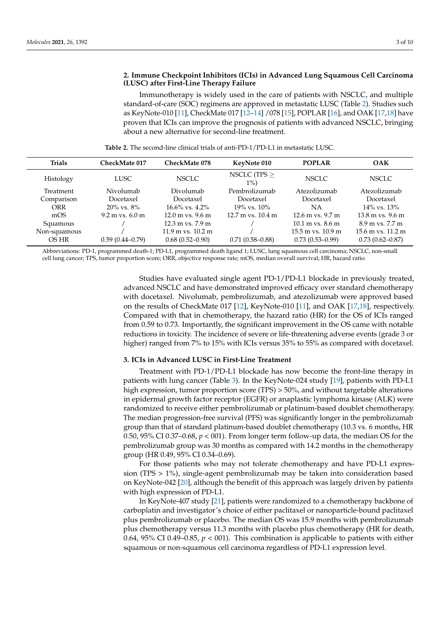## **2. Immune Checkpoint Inhibitors (ICIs) in Advanced Lung Squamous Cell Carcinoma (LUSC) after First-Line Therapy Failure**

Immunotherapy is widely used in the care of patients with NSCLC, and multiple standard-of-care (SOC) regimens are approved in metastatic LUSC (Table [2\)](#page-2-0). Studies such as KeyNote-010 [\[11\]](#page-7-10), CheckMate 017 [\[12–](#page-7-11)[14\]](#page-7-12) /078 [\[15\]](#page-7-13), POPLAR [\[16\]](#page-7-14), and OAK [\[17](#page-8-0)[,18\]](#page-8-1) have proven that ICIs can improve the prognosis of patients with advanced NSCLC, bringing about a new alternative for second-line treatment.

<span id="page-2-0"></span>

| <b>Trials</b> | CheckMate 017             | <b>CheckMate 078</b>                 | KeyNote 010                           | <b>POPLAR</b>                        | OAK                                  |
|---------------|---------------------------|--------------------------------------|---------------------------------------|--------------------------------------|--------------------------------------|
| Histology     | <b>LUSC</b>               | <b>NSCLC</b>                         | NSCLC (TPS $\geq$<br>$1\%)$           | <b>NSCLC</b>                         | <b>NSCLC</b>                         |
| Treatment     | Nivolumab                 | Divolumab                            | Pembrolizumab                         | Atezolizumab                         | Atezolizumab                         |
| Comparison    | Docetaxel                 | Docetaxel                            | Docetaxel                             | Docetaxel                            | Docetaxel                            |
| ORR           | $20\%$ vs. $8\%$          | $16.6\%$ vs. $4.2\%$                 | $19\%$ vs. $10\%$                     | NΑ                                   | $14\%$ vs. $13\%$                    |
| mOS           | $9.2 \text{ m}$ vs. 6.0 m | $12.0 \text{ m}$ vs. $9.6 \text{ m}$ | $12.7 \text{ m}$ vs. $10.4 \text{ m}$ | $12.6$ m vs. $9.7$ m                 | $13.8 \text{ m}$ vs. $9.6 \text{ m}$ |
| Squamous      |                           | $12.3 \text{ m}$ vs. $7.9 \text{ m}$ |                                       | $10.1 \text{ m}$ vs. $8.6 \text{ m}$ | 8.9 m vs. 7.7 m                      |
| Non-squamous  |                           | $11.9$ m vs. $10.2$ m                |                                       | $15.5$ m vs. $10.9$ m                | 15.6 m vs. 11.2 m                    |
| OS HR         | $0.59(0.44 - 0.79)$       | $0.68(0.52-0.90)$                    | $0.71(0.58 - 0.88)$                   | $0.73(0.53 - 0.99)$                  | $0.73(0.62 - 0.87)$                  |

**Table 2.** The second-line clinical trials of anti-PD-1/PD-L1 in metastatic LUSC.

Abbreviations: PD-1, programmed death-1; PD-L1, programmed death ligand 1; LUSC, lung squamous cell carcinoma; NSCLC, non-small cell lung cancer; TPS, tumor proportion score; ORR, objective response rate; mOS, median overall survival; HR, hazard ratio.

> Studies have evaluated single agent PD-1/PD-L1 blockade in previously treated, advanced NSCLC and have demonstrated improved efficacy over standard chemotherapy with docetaxel. Nivolumab, pembrolizumab, and atezolizumab were approved based on the results of CheckMate 017 [\[12\]](#page-7-11), KeyNote-010 [\[11\]](#page-7-10), and OAK [\[17](#page-8-0)[,18\]](#page-8-1), respectively. Compared with that in chemotherapy, the hazard ratio (HR) for the OS of ICIs ranged from 0.59 to 0.73. Importantly, the significant improvement in the OS came with notable reductions in toxicity. The incidence of severe or life-threatening adverse events (grade 3 or higher) ranged from 7% to 15% with ICIs versus 35% to 55% as compared with docetaxel.

### **3. ICIs in Advanced LUSC in First-Line Treatment**

Treatment with PD-1/PD-L1 blockade has now become the front-line therapy in patients with lung cancer (Table [3\)](#page-3-0). In the KeyNote-024 study [\[19\]](#page-8-2), patients with PD-L1 high expression, tumor proportion score (TPS) > 50%, and without targetable alterations in epidermal growth factor receptor (EGFR) or anaplastic lymphoma kinase (ALK) were randomized to receive either pembrolizumab or platinum-based doublet chemotherapy. The median progression-free survival (PFS) was significantly longer in the pembrolizumab group than that of standard platinum-based doublet chemotherapy (10.3 vs. 6 months, HR 0.50, 95% CI 0.37–0.68,  $p < 001$ ). From longer term follow-up data, the median OS for the pembrolizumab group was 30 months as compared with 14.2 months in the chemotherapy group (HR 0.49, 95% CI 0.34–0.69).

For those patients who may not tolerate chemotherapy and have PD-L1 expression (TPS  $> 1\%$ ), single-agent pembrolizumab may be taken into consideration based on KeyNote-042 [\[20\]](#page-8-3), although the benefit of this approach was largely driven by patients with high expression of PD-L1.

In KeyNote-407 study [\[21\]](#page-8-4), patients were randomized to a chemotherapy backbone of carboplatin and investigator's choice of either paclitaxel or nanoparticle-bound paclitaxel plus pembrolizumab or placebo. The median OS was 15.9 months with pembrolizumab plus chemotherapy versus 11.3 months with placebo plus chemotherapy (HR for death, 0.64, 95% CI 0.49–0.85,  $p < 001$ ). This combination is applicable to patients with either squamous or non-squamous cell carcinoma regardless of PD-L1 expression level.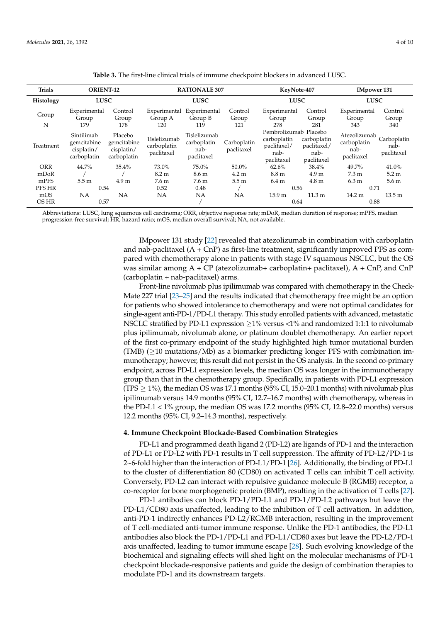<span id="page-3-0"></span>

| <b>Trials</b>    | <b>ORIENT-12</b>                                       |                                                     |                                           | <b>RATIONALE 307</b>                              |                           | KeyNote-407                                                               |                                                  | <b>IMpower 131</b>                                |                                   |
|------------------|--------------------------------------------------------|-----------------------------------------------------|-------------------------------------------|---------------------------------------------------|---------------------------|---------------------------------------------------------------------------|--------------------------------------------------|---------------------------------------------------|-----------------------------------|
| <b>Histology</b> | <b>LUSC</b>                                            |                                                     |                                           | <b>LUSC</b>                                       |                           | <b>LUSC</b>                                                               |                                                  | <b>LUSC</b>                                       |                                   |
| Group<br>N       | Experimental<br>Group<br>179                           | Control<br>Group<br>178                             | Experimental<br>Group A<br>120            | Experimental<br>Group B<br>119                    | Control<br>Group<br>121   | Experimental<br>Group<br>278                                              | Control<br>Group<br>281                          | Experimental<br>Group<br>343                      | Control<br>Group<br>340           |
| Treatment        | Sintilimab<br>gemcitabine<br>cisplatin/<br>carboplatin | Placebo<br>gemcitabine<br>cisplatin/<br>carboplatin | Tislelizumab<br>carboplatin<br>paclitaxel | Tislelizumab<br>carboplatin<br>nab-<br>paclitaxel | Carboplatin<br>paclitaxel | Pembrolizumab Placebo<br>carboplatin<br>paclitaxel/<br>nab-<br>paclitaxel | carboplatin<br>paclitaxel/<br>nab-<br>paclitaxel | Atezolizumab<br>carboplatin<br>nab-<br>paclitaxel | Carboplatin<br>nab-<br>paclitaxel |
| <b>ORR</b>       | 44.7%                                                  | 35.4%                                               | 73.0%                                     | 75.0%                                             | 50.0%                     | 62.6%                                                                     | 38.4%                                            | 49.7%                                             | 41.0%                             |
| mDoR             |                                                        |                                                     | 8.2 m                                     | 8.6 m                                             | 4.2 m                     | 8.8 <sub>m</sub>                                                          | 4.9 <sub>m</sub>                                 | $7.3 \text{ m}$                                   | 5.2 m                             |
| mPFS             | 5.5 <sub>m</sub>                                       | 4.9 <sub>m</sub>                                    | 7.6 m                                     | 7.6 m                                             | 5.5 m                     | 6.4 m                                                                     | 4.8 <sub>m</sub>                                 | 6.3 m                                             | 5.6 <sub>m</sub>                  |
| <b>PFS HR</b>    | 0.54                                                   |                                                     | 0.52                                      | 0.48                                              |                           | 0.56                                                                      |                                                  | 0.71                                              |                                   |
| mOS              | NA                                                     | NA                                                  | NΑ                                        | NΑ                                                | NA                        | 15.9 <sub>m</sub>                                                         | $11.3 \text{ m}$                                 | $14.2 \text{ m}$                                  | 13.5 <sub>m</sub>                 |
| OS HR            | 0.57                                                   |                                                     |                                           |                                                   |                           | 0.64                                                                      |                                                  | 0.88                                              |                                   |

**Table 3.** The first-line clinical trials of immune checkpoint blockers in advanced LUSC.

Abbreviations: LUSC, lung squamous cell carcinoma; ORR, objective response rate; mDoR, median duration of response; mPFS, median progression-free survival; HR, hazard ratio; mOS, median overall survival; NA, not available.

> IMpower 131 study [\[22\]](#page-8-5) revealed that atezolizumab in combination with carboplatin and nab-paclitaxel  $(A + \text{CnP})$  as first-line treatment, significantly improved PFS as compared with chemotherapy alone in patients with stage IV squamous NSCLC, but the OS was similar among  $A + CP$  (atezolizumab+ carboplatin+ paclitaxel),  $A + CnP$ , and  $CnP$ (carboplatin + nab-paclitaxel) arms.

> Front-line nivolumab plus ipilimumab was compared with chemotherapy in the Check-Mate 227 trial [\[23](#page-8-6)[–25\]](#page-8-7) and the results indicated that chemotherapy free might be an option for patients who showed intolerance to chemotherapy and were not optimal candidates for single-agent anti-PD-1/PD-L1 therapy. This study enrolled patients with advanced, metastatic NSCLC stratified by PD-L1 expression  $\geq$ 1% versus <1% and randomized 1:1:1 to nivolumab plus ipilimumab, nivolumab alone, or platinum doublet chemotherapy. An earlier report of the first co-primary endpoint of the study highlighted high tumor mutational burden (TMB)  $(210 \text{ mutations/Mb})$  as a biomarker predicting longer PFS with combination immunotherapy; however, this result did not persist in the OS analysis. In the second co-primary endpoint, across PD-L1 expression levels, the median OS was longer in the immunotherapy group than that in the chemotherapy group. Specifically, in patients with PD-L1 expression (TPS  $\geq$  1%), the median OS was 17.1 months (95% CI, 15.0–20.1 months) with nivolumab plus ipilimumab versus 14.9 months (95% CI, 12.7–16.7 months) with chemotherapy, whereas in the PD-L1 < 1% group, the median OS was 17.2 months (95% CI, 12.8–22.0 months) versus 12.2 months (95% CI, 9.2–14.3 months), respectively.

#### **4. Immune Checkpoint Blockade-Based Combination Strategies**

PD-L1 and programmed death ligand 2 (PD-L2) are ligands of PD-1 and the interaction of PD-L1 or PD-L2 with PD-1 results in T cell suppression. The affinity of PD-L2/PD-1 is 2~6-fold higher than the interaction of PD-L1/PD-1 [\[26\]](#page-8-8). Additionally, the binding of PD-L1 to the cluster of differentiation 80 (CD80) on activated T cells can inhibit T cell activity. Conversely, PD-L2 can interact with repulsive guidance molecule B (RGMB) receptor, a co-receptor for bone morphogenetic protein (BMP), resulting in the activation of T cells [\[27\]](#page-8-9).

PD-1 antibodies can block PD-1/PD-L1 and PD-1/PD-L2 pathways but leave the PD-L1/CD80 axis unaffected, leading to the inhibition of T cell activation. In addition, anti-PD-1 indirectly enhances PD-L2/RGMB interaction, resulting in the improvement of T cell-mediated anti-tumor immune response. Unlike the PD-1 antibodies, the PD-L1 antibodies also block the PD-1/PD-L1 and PD-L1/CD80 axes but leave the PD-L2/PD-1 axis unaffected, leading to tumor immune escape [\[28\]](#page-8-10). Such evolving knowledge of the biochemical and signaling effects will shed light on the molecular mechanisms of PD-1 checkpoint blockade-responsive patients and guide the design of combination therapies to modulate PD-1 and its downstream targets.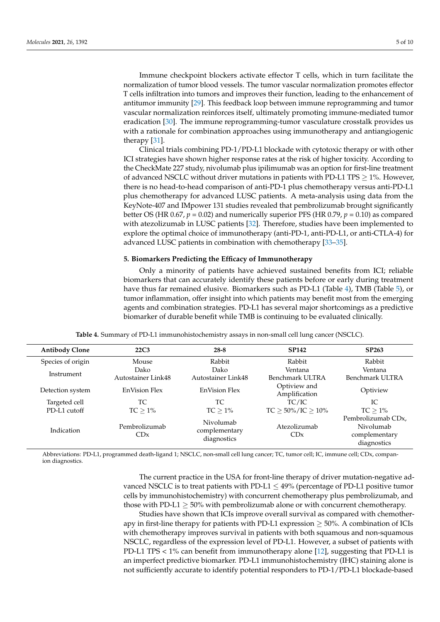Immune checkpoint blockers activate effector T cells, which in turn facilitate the normalization of tumor blood vessels. The tumor vascular normalization promotes effector T cells infiltration into tumors and improves their function, leading to the enhancement of antitumor immunity [\[29\]](#page-8-11). This feedback loop between immune reprogramming and tumor vascular normalization reinforces itself, ultimately promoting immune-mediated tumor eradication [\[30\]](#page-8-12). The immune reprogramming-tumor vasculature crosstalk provides us with a rationale for combination approaches using immunotherapy and antiangiogenic therapy [\[31\]](#page-8-13).

Clinical trials combining PD-1/PD-L1 blockade with cytotoxic therapy or with other ICI strategies have shown higher response rates at the risk of higher toxicity. According to the CheckMate 227 study, nivolumab plus ipilimumab was an option for first-line treatment of advanced NSCLC without driver mutations in patients with PD-L1 TPS  $\geq$  1%. However, there is no head-to-head comparison of anti-PD-1 plus chemotherapy versus anti-PD-L1 plus chemotherapy for advanced LUSC patients. A meta-analysis using data from the KeyNote-407 and IMpower 131 studies revealed that pembrolizumab brought significantly better OS (HR 0.67,  $p = 0.02$ ) and numerically superior PFS (HR 0.79,  $p = 0.10$ ) as compared with atezolizumab in LUSC patients [\[32\]](#page-8-14). Therefore, studies have been implemented to explore the optimal choice of immunotherapy (anti-PD-1, anti-PD-L1, or anti-CTLA-4) for advanced LUSC patients in combination with chemotherapy [\[33–](#page-8-15)[35\]](#page-8-16).

# **5. Biomarkers Predicting the Efficacy of Immunotherapy**

Only a minority of patients have achieved sustained benefits from ICI; reliable biomarkers that can accurately identify these patients before or early during treatment have thus far remained elusive. Biomarkers such as PD-L1 (Table [4\)](#page-4-0), TMB (Table [5\)](#page-5-0), or tumor inflammation, offer insight into which patients may benefit most from the emerging agents and combination strategies. PD-L1 has several major shortcomings as a predictive biomarker of durable benefit while TMB is continuing to be evaluated clinically.

<span id="page-4-0"></span>

| <b>Antibody Clone</b> | 22C <sub>3</sub>          | $28 - 8$                                  | <b>SP142</b>                  | <b>SP263</b>                                                                 |
|-----------------------|---------------------------|-------------------------------------------|-------------------------------|------------------------------------------------------------------------------|
| Species of origin     | Mouse                     | Rabbit                                    | Rabbit                        | Rabbit                                                                       |
| Instrument            | Dako                      | Dako                                      | Ventana                       | Ventana                                                                      |
|                       | <b>Autostainer Link48</b> | Autostainer Link48                        | Benchmark ULTRA               | Benchmark ULTRA                                                              |
| Detection system      | <b>EnVision Flex</b>      | <b>EnVision Flex</b>                      | Optiview and<br>Amplification | Optiview                                                                     |
| Targeted cell         | ТC                        | ТC                                        | TC/IC                         | IC.                                                                          |
| PD-L1 cutoff          | $TC > 1\%$                | $TC > 1\%$                                | $TC > 50\%/IC > 10\%$         | $TC > 1\%$                                                                   |
| Indication            | Pembrolizumab<br>CDx      | Nivolumab<br>complementary<br>diagnostics | Atezolizumab<br>CDx           | Pembrolizumab CD <sub>x</sub> ,<br>Nivolumab<br>complementary<br>diagnostics |

**Table 4.** Summary of PD-L1 immunohistochemistry assays in non-small cell lung cancer (NSCLC).

Abbreviations: PD-L1, programmed death-ligand 1; NSCLC, non-small cell lung cancer; TC, tumor cell; IC, immune cell; CDx, companion diagnostics.

> The current practice in the USA for front-line therapy of driver mutation-negative advanced NSCLC is to treat patients with PD-L1  $\leq$  49% (percentage of PD-L1 positive tumor cells by immunohistochemistry) with concurrent chemotherapy plus pembrolizumab, and those with PD-L1  $\geq$  50% with pembrolizumab alone or with concurrent chemotherapy.

> Studies have shown that ICIs improve overall survival as compared with chemotherapy in first-line therapy for patients with PD-L1 expression  $\geq$  50%. A combination of ICIs with chemotherapy improves survival in patients with both squamous and non-squamous NSCLC, regardless of the expression level of PD-L1. However, a subset of patients with PD-L1 TPS < 1% can benefit from immunotherapy alone [\[12\]](#page-7-11), suggesting that PD-L1 is an imperfect predictive biomarker. PD-L1 immunohistochemistry (IHC) staining alone is not sufficiently accurate to identify potential responders to PD-1/PD-L1 blockade-based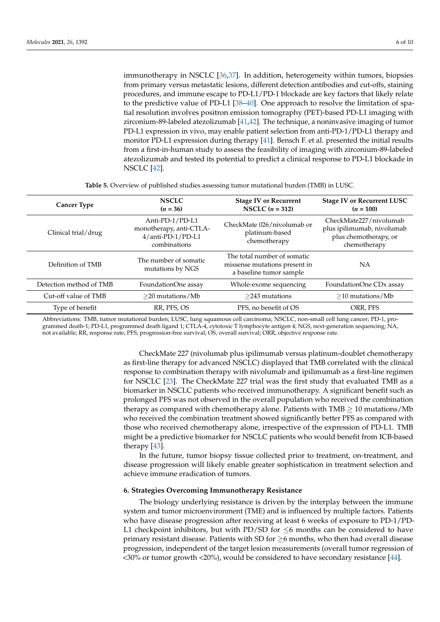immunotherapy in NSCLC [\[36](#page-8-17)[,37\]](#page-8-18). In addition, heterogeneity within tumors, biopsies from primary versus metastatic lesions, different detection antibodies and cut-offs, staining procedures, and immune escape to PD-L1/PD-1 blockade are key factors that likely relate to the predictive value of PD-L1 [\[38](#page-8-19)[–40\]](#page-9-0). One approach to resolve the limitation of spatial resolution involves positron emission tomography (PET)-based PD-L1 imaging with zirconium-89-labeled atezolizumab [\[41](#page-9-1)[,42\]](#page-9-2). The technique, a noninvasive imaging of tumor PD-L1 expression in vivo, may enable patient selection from anti-PD-1/PD-L1 therapy and monitor PD-L1 expression during therapy [\[41\]](#page-9-1). Bensch F. et al. presented the initial results from a first-in-human study to assess the feasibility of imaging with zirconium-89-labeled atezolizumab and tested its potential to predict a clinical response to PD-L1 blockade in NSCLC [\[42\]](#page-9-2).

| Table 5. Overview of published studies assessing tumor mutational burden (TMB) in LUSC. |  |  |  |  |  |
|-----------------------------------------------------------------------------------------|--|--|--|--|--|
|-----------------------------------------------------------------------------------------|--|--|--|--|--|

<span id="page-5-0"></span>

| <b>Cancer Type</b>      | <b>NSCLC</b><br>$(n = 36)$                                                      | <b>Stage IV or Recurrent</b><br>NSCLC $(n = 312)$                                       | <b>Stage IV or Recurrent LUSC</b><br>$(n = 100)$                                              |
|-------------------------|---------------------------------------------------------------------------------|-----------------------------------------------------------------------------------------|-----------------------------------------------------------------------------------------------|
| Clinical trial/drug     | Anti-PD-1/PD-L1<br>monotherapy, anti-CTLA-<br>4/anti-PD-1/PD-L1<br>combinations | CheckMate 026/nivolumab or<br>platinum-based<br>chemotherapy                            | CheckMate227/nivolumab<br>plus ipilimumab, nivolumab<br>plus chemotherapy, or<br>chemotherapy |
| Definition of TMB       | The number of somatic<br>mutations by NGS                                       | The total number of somatic<br>missense mutations present in<br>a baseline tumor sample | NA                                                                                            |
| Detection method of TMB | FoundationOne assay                                                             | Whole-exome sequencing                                                                  | FoundationOne CD <sub>x</sub> assay                                                           |
| Cut-off value of TMB    | $>$ 20 mutations/Mb                                                             | $>$ 243 mutations                                                                       | $>10$ mutations/Mb                                                                            |
| Type of benefit         | RR, PFS, OS                                                                     | PFS, no benefit of OS                                                                   | ORR, PFS                                                                                      |

Abbreviations: TMB, tumor mutational burden; LUSC, lung squamous cell carcinoma; NSCLC, non-small cell lung cancer; PD-1, programmed death-1; PD-L1, programmed death ligand 1; CTLA-4, cytotoxic T lymphocyte antigen 4; NGS, next-generation sequencing; NA, not available; RR, response rate; PFS, progression-free survival; OS, overall survival; ORR, objective response rate.

> CheckMate 227 (nivolumab plus ipilimumab versus platinum-doublet chemotherapy as first-line therapy for advanced NSCLC) displayed that TMB correlated with the clinical response to combination therapy with nivolumab and ipilimumab as a first-line regimen for NSCLC [\[23\]](#page-8-6). The CheckMate 227 trial was the first study that evaluated TMB as a biomarker in NSCLC patients who received immunotherapy. A significant benefit such as prolonged PFS was not observed in the overall population who received the combination therapy as compared with chemotherapy alone. Patients with  $TMB \geq 10$  mutations/Mb who received the combination treatment showed significantly better PFS as compared with those who received chemotherapy alone, irrespective of the expression of PD-L1. TMB might be a predictive biomarker for NSCLC patients who would benefit from ICB-based therapy [\[43\]](#page-9-3).

> In the future, tumor biopsy tissue collected prior to treatment, on-treatment, and disease progression will likely enable greater sophistication in treatment selection and achieve immune eradication of tumors.

### **6. Strategies Overcoming Immunotherapy Resistance**

The biology underlying resistance is driven by the interplay between the immune system and tumor microenvironment (TME) and is influenced by multiple factors. Patients who have disease progression after receiving at least 6 weeks of exposure to PD-1/PD-L1 checkpoint inhibitors, but with PD/SD for  $\leq$ 6 months can be considered to have primary resistant disease. Patients with SD for  $\geq$ 6 months, who then had overall disease progression, independent of the target lesion measurements (overall tumor regression of <30% or tumor growth <20%), would be considered to have secondary resistance [\[44\]](#page-9-4).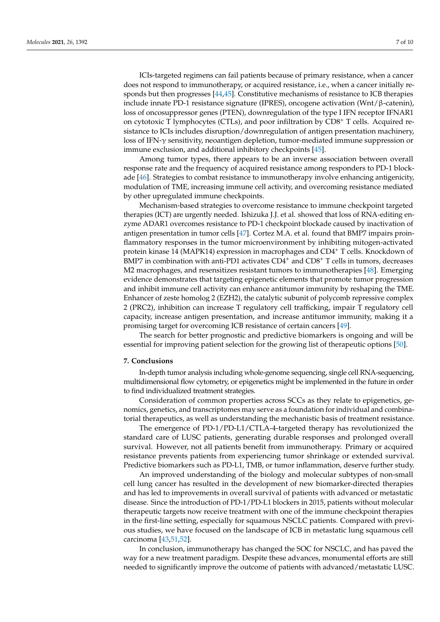ICIs-targeted regimens can fail patients because of primary resistance, when a cancer does not respond to immunotherapy, or acquired resistance, i.e., when a cancer initially responds but then progresses [\[44](#page-9-4)[,45\]](#page-9-5). Constitutive mechanisms of resistance to ICB therapies include innate PD-1 resistance signature (IPRES), oncogene activation (Wnt/β-catenin), loss of oncosuppressor genes (PTEN), downregulation of the type I IFN receptor IFNAR1 on cytotoxic T lymphocytes (CTLs), and poor infiltration by  $CDS<sup>+</sup>$  T cells. Acquired resistance to ICIs includes disruption/downregulation of antigen presentation machinery, loss of IFN-γ sensitivity, neoantigen depletion, tumor-mediated immune suppression or immune exclusion, and additional inhibitory checkpoints [\[45\]](#page-9-5).

Among tumor types, there appears to be an inverse association between overall response rate and the frequency of acquired resistance among responders to PD-1 blockade [\[46\]](#page-9-6). Strategies to combat resistance to immunotherapy involve enhancing antigenicity, modulation of TME, increasing immune cell activity, and overcoming resistance mediated by other upregulated immune checkpoints.

Mechanism-based strategies to overcome resistance to immune checkpoint targeted therapies (ICT) are urgently needed. Ishizuka J.J. et al. showed that loss of RNA-editing enzyme ADAR1 overcomes resistance to PD-1 checkpoint blockade caused by inactivation of antigen presentation in tumor cells [\[47\]](#page-9-7). Cortez M.A. et al. found that BMP7 impairs proinflammatory responses in the tumor microenvironment by inhibiting mitogen-activated protein kinase 14 (MAPK14) expression in macrophages and CD4<sup>+</sup> T cells. Knockdown of BMP7 in combination with anti-PD1 activates  $CD4^+$  and  $CD8^+$  T cells in tumors, decreases M2 macrophages, and resensitizes resistant tumors to immunotherapies [\[48\]](#page-9-8). Emerging evidence demonstrates that targeting epigenetic elements that promote tumor progression and inhibit immune cell activity can enhance antitumor immunity by reshaping the TME. Enhancer of zeste homolog 2 (EZH2), the catalytic subunit of polycomb repressive complex 2 (PRC2), inhibition can increase T regulatory cell trafficking, impair T regulatory cell capacity, increase antigen presentation, and increase antitumor immunity, making it a promising target for overcoming ICB resistance of certain cancers [\[49\]](#page-9-9).

The search for better prognostic and predictive biomarkers is ongoing and will be essential for improving patient selection for the growing list of therapeutic options [\[50\]](#page-9-10).

#### **7. Conclusions**

In-depth tumor analysis including whole-genome sequencing, single cell RNA-sequencing, multidimensional flow cytometry, or epigenetics might be implemented in the future in order to find individualized treatment strategies.

Consideration of common properties across SCCs as they relate to epigenetics, genomics, genetics, and transcriptomes may serve as a foundation for individual and combinatorial therapeutics, as well as understanding the mechanistic basis of treatment resistance.

The emergence of PD-1/PD-L1/CTLA-4-targeted therapy has revolutionized the standard care of LUSC patients, generating durable responses and prolonged overall survival. However, not all patients benefit from immunotherapy. Primary or acquired resistance prevents patients from experiencing tumor shrinkage or extended survival. Predictive biomarkers such as PD-L1, TMB, or tumor inflammation, deserve further study.

An improved understanding of the biology and molecular subtypes of non-small cell lung cancer has resulted in the development of new biomarker-directed therapies and has led to improvements in overall survival of patients with advanced or metastatic disease. Since the introduction of PD-1/PD-L1 blockers in 2015, patients without molecular therapeutic targets now receive treatment with one of the immune checkpoint therapies in the first-line setting, especially for squamous NSCLC patients. Compared with previous studies, we have focused on the landscape of ICB in metastatic lung squamous cell carcinoma [\[43,](#page-9-3)[51](#page-9-11)[,52\]](#page-9-12).

In conclusion, immunotherapy has changed the SOC for NSCLC, and has paved the way for a new treatment paradigm. Despite these advances, monumental efforts are still needed to significantly improve the outcome of patients with advanced/metastatic LUSC.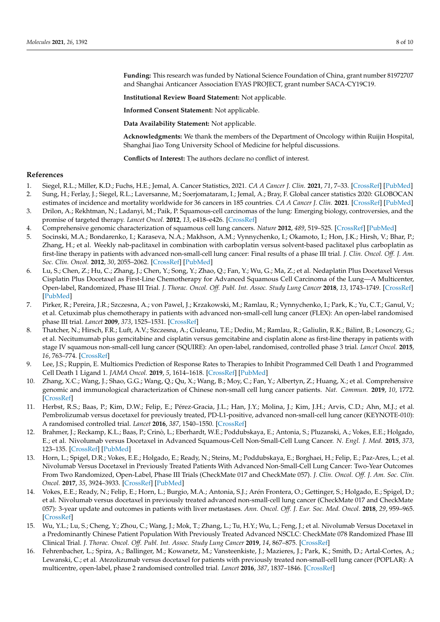**Funding:** This research was funded by National Science Foundation of China, grant number 81972707 and Shanghai Anticancer Association EYAS PROJECT, grant number SACA-CY19C19.

**Institutional Review Board Statement:** Not applicable.

**Informed Consent Statement:** Not applicable.

**Data Availability Statement:** Not applicable.

**Acknowledgments:** We thank the members of the Department of Oncology within Ruijin Hospital, Shanghai Jiao Tong University School of Medicine for helpful discussions.

**Conflicts of Interest:** The authors declare no conflict of interest.

### **References**

- <span id="page-7-0"></span>1. Siegel, R.L.; Miller, K.D.; Fuchs, H.E.; Jemal, A. Cancer Statistics, 2021. *CA A Cancer J. Clin.* **2021**, *71*, 7–33. [\[CrossRef\]](http://doi.org/10.3322/caac.21654) [\[PubMed\]](http://www.ncbi.nlm.nih.gov/pubmed/33433946)
- <span id="page-7-1"></span>2. Sung, H.; Ferlay, J.; Siegel, R.L.; Laversanne, M.; Soerjomataram, I.; Jemal, A.; Bray, F. Global cancer statistics 2020: GLOBOCAN
- <span id="page-7-2"></span>estimates of incidence and mortality worldwide for 36 cancers in 185 countries. *CA A Cancer J. Clin.* **2021**. [\[CrossRef\]](http://doi.org/10.3322/caac.21660) [\[PubMed\]](http://www.ncbi.nlm.nih.gov/pubmed/33538338) 3. Drilon, A.; Rekhtman, N.; Ladanyi, M.; Paik, P. Squamous-cell carcinomas of the lung: Emerging biology, controversies, and the promise of targeted therapy. *Lancet Oncol.* **2012**, *13*, e418–e426. [\[CrossRef\]](http://doi.org/10.1016/S1470-2045(12)70291-7)
- <span id="page-7-3"></span>4. Comprehensive genomic characterization of squamous cell lung cancers. *Nature* **2012**, *489*, 519–525. [\[CrossRef\]](http://doi.org/10.1038/nature11404) [\[PubMed\]](http://www.ncbi.nlm.nih.gov/pubmed/22960745)
- <span id="page-7-4"></span>5. Socinski, M.A.; Bondarenko, I.; Karaseva, N.A.; Makhson, A.M.; Vynnychenko, I.; Okamoto, I.; Hon, J.K.; Hirsh, V.; Bhar, P.; Zhang, H.; et al. Weekly nab-paclitaxel in combination with carboplatin versus solvent-based paclitaxel plus carboplatin as first-line therapy in patients with advanced non-small-cell lung cancer: Final results of a phase III trial. *J. Clin. Oncol. Off. J. Am. Soc. Clin. Oncol.* **2012**, *30*, 2055–2062. [\[CrossRef\]](http://doi.org/10.1200/JCO.2011.39.5848) [\[PubMed\]](http://www.ncbi.nlm.nih.gov/pubmed/22547591)
- <span id="page-7-5"></span>6. Lu, S.; Chen, Z.; Hu, C.; Zhang, J.; Chen, Y.; Song, Y.; Zhao, Q.; Fan, Y.; Wu, G.; Ma, Z.; et al. Nedaplatin Plus Docetaxel Versus Cisplatin Plus Docetaxel as First-Line Chemotherapy for Advanced Squamous Cell Carcinoma of the Lung—A Multicenter, Open-label, Randomized, Phase III Trial. *J. Thorac. Oncol. Off. Publ. Int. Assoc. Study Lung Cancer* **2018**, *13*, 1743–1749. [\[CrossRef\]](http://doi.org/10.1016/j.jtho.2018.07.006) [\[PubMed\]](http://www.ncbi.nlm.nih.gov/pubmed/30017831)
- <span id="page-7-6"></span>7. Pirker, R.; Pereira, J.R.; Szczesna, A.; von Pawel, J.; Krzakowski, M.; Ramlau, R.; Vynnychenko, I.; Park, K.; Yu, C.T.; Ganul, V.; et al. Cetuximab plus chemotherapy in patients with advanced non-small-cell lung cancer (FLEX): An open-label randomised phase III trial. *Lancet* **2009**, *373*, 1525–1531. [\[CrossRef\]](http://doi.org/10.1016/S0140-6736(09)60569-9)
- <span id="page-7-7"></span>8. Thatcher, N.; Hirsch, F.R.; Luft, A.V.; Szczesna, A.; Ciuleanu, T.E.; Dediu, M.; Ramlau, R.; Galiulin, R.K.; Bálint, B.; Losonczy, G.; et al. Necitumumab plus gemcitabine and cisplatin versus gemcitabine and cisplatin alone as first-line therapy in patients with stage IV squamous non-small-cell lung cancer (SQUIRE): An open-label, randomised, controlled phase 3 trial. *Lancet Oncol.* **2015**, *16*, 763–774. [\[CrossRef\]](http://doi.org/10.1016/S1470-2045(15)00021-2)
- <span id="page-7-8"></span>9. Lee, J.S.; Ruppin, E. Multiomics Prediction of Response Rates to Therapies to Inhibit Programmed Cell Death 1 and Programmed Cell Death 1 Ligand 1. *JAMA Oncol.* **2019**, *5*, 1614–1618. [\[CrossRef\]](http://doi.org/10.1001/jamaoncol.2019.2311) [\[PubMed\]](http://www.ncbi.nlm.nih.gov/pubmed/31436822)
- <span id="page-7-9"></span>10. Zhang, X.C.; Wang, J.; Shao, G.G.; Wang, Q.; Qu, X.; Wang, B.; Moy, C.; Fan, Y.; Albertyn, Z.; Huang, X.; et al. Comprehensive genomic and immunological characterization of Chinese non-small cell lung cancer patients. *Nat. Commun.* **2019**, *10*, 1772. [\[CrossRef\]](http://doi.org/10.1038/s41467-019-09762-1)
- <span id="page-7-10"></span>11. Herbst, R.S.; Baas, P.; Kim, D.W.; Felip, E.; Pérez-Gracia, J.L.; Han, J.Y.; Molina, J.; Kim, J.H.; Arvis, C.D.; Ahn, M.J.; et al. Pembrolizumab versus docetaxel for previously treated, PD-L1-positive, advanced non-small-cell lung cancer (KEYNOTE-010): A randomised controlled trial. *Lancet* **2016**, *387*, 1540–1550. [\[CrossRef\]](http://doi.org/10.1016/S0140-6736(15)01281-7)
- <span id="page-7-11"></span>12. Brahmer, J.; Reckamp, K.L.; Baas, P.; Crinò, L.; Eberhardt, W.E.; Poddubskaya, E.; Antonia, S.; Pluzanski, A.; Vokes, E.E.; Holgado, E.; et al. Nivolumab versus Docetaxel in Advanced Squamous-Cell Non-Small-Cell Lung Cancer. *N. Engl. J. Med.* **2015**, *373*, 123–135. [\[CrossRef\]](http://doi.org/10.1056/NEJMoa1504627) [\[PubMed\]](http://www.ncbi.nlm.nih.gov/pubmed/26028407)
- 13. Horn, L.; Spigel, D.R.; Vokes, E.E.; Holgado, E.; Ready, N.; Steins, M.; Poddubskaya, E.; Borghaei, H.; Felip, E.; Paz-Ares, L.; et al. Nivolumab Versus Docetaxel in Previously Treated Patients With Advanced Non-Small-Cell Lung Cancer: Two-Year Outcomes From Two Randomized, Open-Label, Phase III Trials (CheckMate 017 and CheckMate 057). *J. Clin. Oncol. Off. J. Am. Soc. Clin. Oncol.* **2017**, *35*, 3924–3933. [\[CrossRef\]](http://doi.org/10.1200/JCO.2017.74.3062) [\[PubMed\]](http://www.ncbi.nlm.nih.gov/pubmed/29023213)
- <span id="page-7-12"></span>14. Vokes, E.E.; Ready, N.; Felip, E.; Horn, L.; Burgio, M.A.; Antonia, S.J.; Arén Frontera, O.; Gettinger, S.; Holgado, E.; Spigel, D.; et al. Nivolumab versus docetaxel in previously treated advanced non-small-cell lung cancer (CheckMate 017 and CheckMate 057): 3-year update and outcomes in patients with liver metastases. *Ann. Oncol. Off. J. Eur. Soc. Med. Oncol.* **2018**, *29*, 959–965. [\[CrossRef\]](http://doi.org/10.1093/annonc/mdy041)
- <span id="page-7-13"></span>15. Wu, Y.L.; Lu, S.; Cheng, Y.; Zhou, C.; Wang, J.; Mok, T.; Zhang, L.; Tu, H.Y.; Wu, L.; Feng, J.; et al. Nivolumab Versus Docetaxel in a Predominantly Chinese Patient Population With Previously Treated Advanced NSCLC: CheckMate 078 Randomized Phase III Clinical Trial. *J. Thorac. Oncol. Off. Publ. Int. Assoc. Study Lung Cancer* **2019**, *14*, 867–875. [\[CrossRef\]](http://doi.org/10.1016/j.jtho.2019.01.006)
- <span id="page-7-14"></span>16. Fehrenbacher, L.; Spira, A.; Ballinger, M.; Kowanetz, M.; Vansteenkiste, J.; Mazieres, J.; Park, K.; Smith, D.; Artal-Cortes, A.; Lewanski, C.; et al. Atezolizumab versus docetaxel for patients with previously treated non-small-cell lung cancer (POPLAR): A multicentre, open-label, phase 2 randomised controlled trial. *Lancet* **2016**, *387*, 1837–1846. [\[CrossRef\]](http://doi.org/10.1016/S0140-6736(16)00587-0)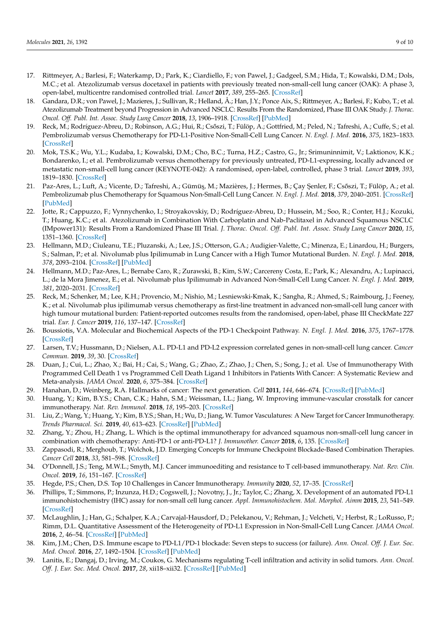- <span id="page-8-0"></span>17. Rittmeyer, A.; Barlesi, F.; Waterkamp, D.; Park, K.; Ciardiello, F.; von Pawel, J.; Gadgeel, S.M.; Hida, T.; Kowalski, D.M.; Dols, M.C.; et al. Atezolizumab versus docetaxel in patients with previously treated non-small-cell lung cancer (OAK): A phase 3, open-label, multicentre randomised controlled trial. *Lancet* **2017**, *389*, 255–265. [\[CrossRef\]](http://doi.org/10.1016/S0140-6736(16)32517-X)
- <span id="page-8-1"></span>18. Gandara, D.R.; von Pawel, J.; Mazieres, J.; Sullivan, R.; Helland, Å.; Han, J.Y.; Ponce Aix, S.; Rittmeyer, A.; Barlesi, F.; Kubo, T.; et al. Atezolizumab Treatment beyond Progression in Advanced NSCLC: Results From the Randomized, Phase III OAK Study. *J. Thorac. Oncol. Off. Publ. Int. Assoc. Study Lung Cancer* **2018**, *13*, 1906–1918. [\[CrossRef\]](http://doi.org/10.1016/j.jtho.2018.08.2027) [\[PubMed\]](http://www.ncbi.nlm.nih.gov/pubmed/30217492)
- <span id="page-8-2"></span>19. Reck, M.; Rodríguez-Abreu, D.; Robinson, A.G.; Hui, R.; Csőszi, T.; Fülöp, A.; Gottfried, M.; Peled, N.; Tafreshi, A.; Cuffe, S.; et al. Pembrolizumab versus Chemotherapy for PD-L1-Positive Non-Small-Cell Lung Cancer. *N. Engl. J. Med.* **2016**, *375*, 1823–1833. [\[CrossRef\]](http://doi.org/10.1056/NEJMoa1606774)
- <span id="page-8-3"></span>20. Mok, T.S.K.; Wu, Y.L.; Kudaba, I.; Kowalski, D.M.; Cho, B.C.; Turna, H.Z.; Castro, G., Jr.; Srimuninnimit, V.; Laktionov, K.K.; Bondarenko, I.; et al. Pembrolizumab versus chemotherapy for previously untreated, PD-L1-expressing, locally advanced or metastatic non-small-cell lung cancer (KEYNOTE-042): A randomised, open-label, controlled, phase 3 trial. *Lancet* **2019**, *393*, 1819–1830. [\[CrossRef\]](http://doi.org/10.1016/S0140-6736(18)32409-7)
- <span id="page-8-4"></span>21. Paz-Ares, L.; Luft, A.; Vicente, D.; Tafreshi, A.; Gümüş, M.; Mazières, J.; Hermes, B.; Çay Şenler, F.; Csőszi, T.; Fülöp, A.; et al. Pembrolizumab plus Chemotherapy for Squamous Non-Small-Cell Lung Cancer. *N. Engl. J. Med.* **2018**, *379*, 2040–2051. [\[CrossRef\]](http://doi.org/10.1056/NEJMoa1810865) [\[PubMed\]](http://www.ncbi.nlm.nih.gov/pubmed/30280635)
- <span id="page-8-5"></span>22. Jotte, R.; Cappuzzo, F.; Vynnychenko, I.; Stroyakovskiy, D.; Rodríguez-Abreu, D.; Hussein, M.; Soo, R.; Conter, H.J.; Kozuki, T.; Huang, K.C.; et al. Atezolizumab in Combination With Carboplatin and Nab-Paclitaxel in Advanced Squamous NSCLC (IMpower131): Results From a Randomized Phase III Trial. *J. Thorac. Oncol. Off. Publ. Int. Assoc. Study Lung Cancer* **2020**, *15*, 1351–1360. [\[CrossRef\]](http://doi.org/10.1016/j.jtho.2020.03.028)
- <span id="page-8-6"></span>23. Hellmann, M.D.; Ciuleanu, T.E.; Pluzanski, A.; Lee, J.S.; Otterson, G.A.; Audigier-Valette, C.; Minenza, E.; Linardou, H.; Burgers, S.; Salman, P.; et al. Nivolumab plus Ipilimumab in Lung Cancer with a High Tumor Mutational Burden. *N. Engl. J. Med.* **2018**, *378*, 2093–2104. [\[CrossRef\]](http://doi.org/10.1056/NEJMoa1801946) [\[PubMed\]](http://www.ncbi.nlm.nih.gov/pubmed/29658845)
- 24. Hellmann, M.D.; Paz-Ares, L.; Bernabe Caro, R.; Zurawski, B.; Kim, S.W.; Carcereny Costa, E.; Park, K.; Alexandru, A.; Lupinacci, L.; de la Mora Jimenez, E.; et al. Nivolumab plus Ipilimumab in Advanced Non-Small-Cell Lung Cancer. *N. Engl. J. Med.* **2019**, *381*, 2020–2031. [\[CrossRef\]](http://doi.org/10.1056/NEJMoa1910231)
- <span id="page-8-7"></span>25. Reck, M.; Schenker, M.; Lee, K.H.; Provencio, M.; Nishio, M.; Lesniewski-Kmak, K.; Sangha, R.; Ahmed, S.; Raimbourg, J.; Feeney, K.; et al. Nivolumab plus ipilimumab versus chemotherapy as first-line treatment in advanced non-small-cell lung cancer with high tumour mutational burden: Patient-reported outcomes results from the randomised, open-label, phase III CheckMate 227 trial. *Eur. J. Cancer* **2019**, *116*, 137–147. [\[CrossRef\]](http://doi.org/10.1016/j.ejca.2019.05.008)
- <span id="page-8-8"></span>26. Boussiotis, V.A. Molecular and Biochemical Aspects of the PD-1 Checkpoint Pathway. *N. Engl. J. Med.* **2016**, *375*, 1767–1778. [\[CrossRef\]](http://doi.org/10.1056/NEJMra1514296)
- <span id="page-8-9"></span>27. Larsen, T.V.; Hussmann, D.; Nielsen, A.L. PD-L1 and PD-L2 expression correlated genes in non-small-cell lung cancer. *Cancer Commun.* **2019**, *39*, 30. [\[CrossRef\]](http://doi.org/10.1186/s40880-019-0376-6)
- <span id="page-8-10"></span>28. Duan, J.; Cui, L.; Zhao, X.; Bai, H.; Cai, S.; Wang, G.; Zhao, Z.; Zhao, J.; Chen, S.; Song, J.; et al. Use of Immunotherapy With Programmed Cell Death 1 vs Programmed Cell Death Ligand 1 Inhibitors in Patients With Cancer: A Systematic Review and Meta-analysis. *JAMA Oncol.* **2020**, *6*, 375–384. [\[CrossRef\]](http://doi.org/10.1001/jamaoncol.2019.5367)
- <span id="page-8-11"></span>29. Hanahan, D.; Weinberg, R.A. Hallmarks of cancer: The next generation. *Cell* **2011**, *144*, 646–674. [\[CrossRef\]](http://doi.org/10.1016/j.cell.2011.02.013) [\[PubMed\]](http://www.ncbi.nlm.nih.gov/pubmed/21376230)
- <span id="page-8-12"></span>30. Huang, Y.; Kim, B.Y.S.; Chan, C.K.; Hahn, S.M.; Weissman, I.L.; Jiang, W. Improving immune-vascular crosstalk for cancer immunotherapy. *Nat. Rev. Immunol.* **2018**, *18*, 195–203. [\[CrossRef\]](http://doi.org/10.1038/nri.2017.145)
- <span id="page-8-13"></span>31. Liu, Z.; Wang, Y.; Huang, Y.; Kim, B.Y.S.; Shan, H.; Wu, D.; Jiang, W. Tumor Vasculatures: A New Target for Cancer Immunotherapy. *Trends Pharmacol. Sci.* **2019**, *40*, 613–623. [\[CrossRef\]](http://doi.org/10.1016/j.tips.2019.07.001) [\[PubMed\]](http://www.ncbi.nlm.nih.gov/pubmed/31331639)
- <span id="page-8-14"></span>32. Zhang, Y.; Zhou, H.; Zhang, L. Which is the optimal immunotherapy for advanced squamous non-small-cell lung cancer in combination with chemotherapy: Anti-PD-1 or anti-PD-L1? *J. Immunother. Cancer* **2018**, *6*, 135. [\[CrossRef\]](http://doi.org/10.1186/s40425-018-0427-6)
- <span id="page-8-15"></span>33. Zappasodi, R.; Merghoub, T.; Wolchok, J.D. Emerging Concepts for Immune Checkpoint Blockade-Based Combination Therapies. *Cancer Cell* **2018**, *33*, 581–598. [\[CrossRef\]](http://doi.org/10.1016/j.ccell.2018.03.005)
- 34. O'Donnell, J.S.; Teng, M.W.L.; Smyth, M.J. Cancer immunoediting and resistance to T cell-based immunotherapy. *Nat. Rev. Clin. Oncol.* **2019**, *16*, 151–167. [\[CrossRef\]](http://doi.org/10.1038/s41571-018-0142-8)
- <span id="page-8-16"></span>35. Hegde, P.S.; Chen, D.S. Top 10 Challenges in Cancer Immunotherapy. *Immunity* **2020**, *52*, 17–35. [\[CrossRef\]](http://doi.org/10.1016/j.immuni.2019.12.011)
- <span id="page-8-17"></span>36. Phillips, T.; Simmons, P.; Inzunza, H.D.; Cogswell, J.; Novotny, J., Jr.; Taylor, C.; Zhang, X. Development of an automated PD-L1 immunohistochemistry (IHC) assay for non-small cell lung cancer. *Appl. Immunohistochem. Mol. Morphol. Aimm* **2015**, *23*, 541–549. [\[CrossRef\]](http://doi.org/10.1097/PAI.0000000000000256)
- <span id="page-8-18"></span>37. McLaughlin, J.; Han, G.; Schalper, K.A.; Carvajal-Hausdorf, D.; Pelekanou, V.; Rehman, J.; Velcheti, V.; Herbst, R.; LoRusso, P.; Rimm, D.L. Quantitative Assessment of the Heterogeneity of PD-L1 Expression in Non-Small-Cell Lung Cancer. *JAMA Oncol.* **2016**, *2*, 46–54. [\[CrossRef\]](http://doi.org/10.1001/jamaoncol.2015.3638) [\[PubMed\]](http://www.ncbi.nlm.nih.gov/pubmed/26562159)
- <span id="page-8-19"></span>38. Kim, J.M.; Chen, D.S. Immune escape to PD-L1/PD-1 blockade: Seven steps to success (or failure). *Ann. Oncol. Off. J. Eur. Soc. Med. Oncol.* **2016**, *27*, 1492–1504. [\[CrossRef\]](http://doi.org/10.1093/annonc/mdw217) [\[PubMed\]](http://www.ncbi.nlm.nih.gov/pubmed/27207108)
- 39. Lanitis, E.; Dangaj, D.; Irving, M.; Coukos, G. Mechanisms regulating T-cell infiltration and activity in solid tumors. *Ann. Oncol. Off. J. Eur. Soc. Med. Oncol.* **2017**, *28*, xii18–xii32. [\[CrossRef\]](http://doi.org/10.1093/annonc/mdx238) [\[PubMed\]](http://www.ncbi.nlm.nih.gov/pubmed/29045511)